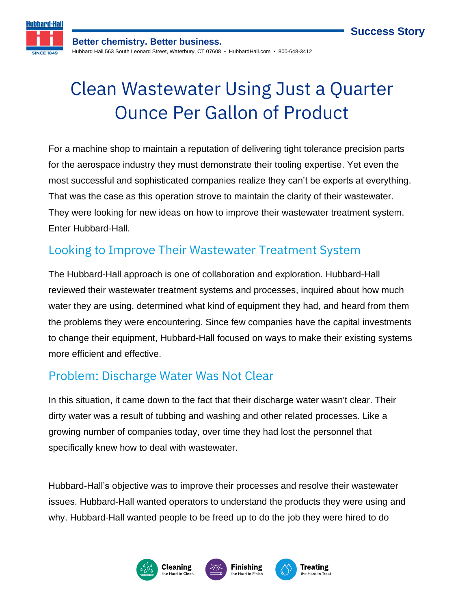**Success Story**



**Better chemistry. Better business.** Hubbard Hall 563 South Leonard Street, Waterbury, CT 07608 • HubbardHall.com • 800-648-3412

# Clean Wastewater Using Just a Quarter Ounce Per Gallon of Product

For a machine shop to maintain a reputation of delivering tight tolerance precision parts for the aerospace industry they must demonstrate their tooling expertise. Yet even the most successful and sophisticated companies realize they can't be experts at everything. That was the case as this operation strove to maintain the clarity of their wastewater. They were looking for new ideas on how to improve their wastewater treatment system. Enter Hubbard-Hall.

### Looking to Improve Their Wastewater Treatment System

The Hubbard-Hall approach is one of collaboration and exploration. Hubbard-Hall reviewed their wastewater treatment systems and processes, inquired about how much water they are using, determined what kind of equipment they had, and heard from them the problems they were encountering. Since few companies have the capital investments to change their equipment, Hubbard-Hall focused on ways to make their existing systems more efficient and effective.

#### Problem: Discharge Water Was Not Clear

In this situation, it came down to the fact that their discharge water wasn't clear. Their dirty water was a result of tubbing and washing and other related processes. Like a growing number of companies today, over time they had lost the personnel that specifically knew how to deal with wastewater.

Hubbard-Hall's objective was to improve their processes and resolve their wastewater issues. Hubbard-Hall wanted operators to understand the products they were using and why. Hubbard-Hall wanted people to be freed up to do the job they were hired to do

> **Treating** the Hard to Tr